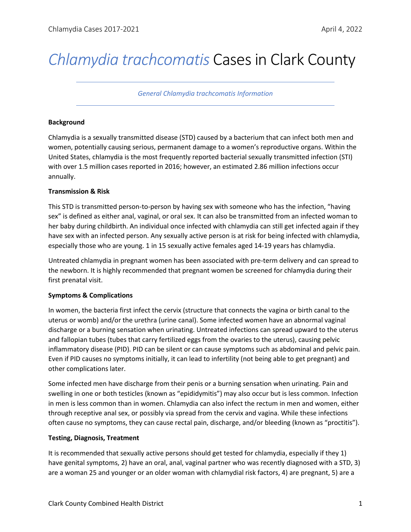# *Chlamydia trachcomatis* Cases in Clark County

*General Chlamydia trachcomatis Information*

#### **Background**

Chlamydia is a sexually transmitted disease (STD) caused by a bacterium that can infect both men and women, potentially causing serious, permanent damage to a women's reproductive organs. Within the United States, chlamydia is the most frequently reported bacterial sexually transmitted infection (STI) with over 1.5 million cases reported in 2016; however, an estimated 2.86 million infections occur annually.

### **Transmission & Risk**

This STD is transmitted person-to-person by having sex with someone who has the infection, "having sex" is defined as either anal, vaginal, or oral sex. It can also be transmitted from an infected woman to her baby during childbirth. An individual once infected with chlamydia can still get infected again if they have sex with an infected person. Any sexually active person is at risk for being infected with chlamydia, especially those who are young. 1 in 15 sexually active females aged 14-19 years has chlamydia.

Untreated chlamydia in pregnant women has been associated with pre-term delivery and can spread to the newborn. It is highly recommended that pregnant women be screened for chlamydia during their first prenatal visit.

# **Symptoms & Complications**

In women, the bacteria first infect the cervix (structure that connects the vagina or birth canal to the uterus or womb) and/or the urethra (urine canal). Some infected women have an abnormal vaginal discharge or a burning sensation when urinating. Untreated infections can spread upward to the uterus and fallopian tubes (tubes that carry fertilized eggs from the ovaries to the uterus), causing pelvic inflammatory disease (PID). PID can be silent or can cause symptoms such as abdominal and pelvic pain. Even if PID causes no symptoms initially, it can lead to infertility (not being able to get pregnant) and other complications later.

Some infected men have discharge from their penis or a burning sensation when urinating. Pain and swelling in one or both testicles (known as "epididymitis") may also occur but is less common. Infection in men is less common than in women. Chlamydia can also infect the rectum in men and women, either through receptive anal sex, or possibly via spread from the cervix and vagina. While these infections often cause no symptoms, they can cause rectal pain, discharge, and/or bleeding (known as "proctitis").

# **Testing, Diagnosis, Treatment**

It is recommended that sexually active persons should get tested for chlamydia, especially if they 1) have genital symptoms, 2) have an oral, anal, vaginal partner who was recently diagnosed with a STD, 3) are a woman 25 and younger or an older woman with chlamydial risk factors, 4) are pregnant, 5) are a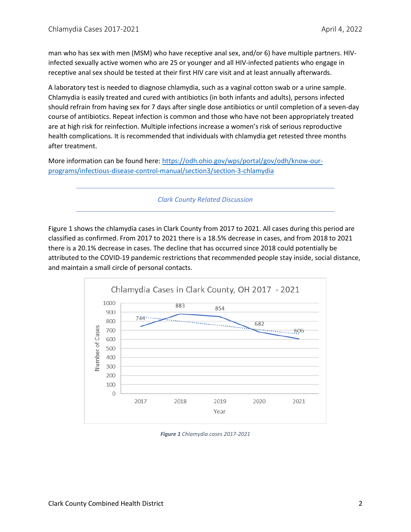man who has sex with men (MSM) who have receptive anal sex, and/or 6) have multiple partners. HIVinfected sexually active women who are 25 or younger and all HIV-infected patients who engage in receptive anal sex should be tested at their first HIV care visit and at least annually afterwards.

A laboratory test is needed to diagnose chlamydia, such as a vaginal cotton swab or a urine sample. Chlamydia is easily treated and cured with antibiotics (in both infants and adults), persons infected should refrain from having sex for 7 days after single dose antibiotics or until completion of a seven-day course of antibiotics. Repeat infection is common and those who have not been appropriately treated are at high risk for reinfection. Multiple infections increase a women's risk of serious reproductive health complications. It is recommended that individuals with chlamydia get retested three months after treatment.

More information can be found here[: https://odh.ohio.gov/wps/portal/gov/odh/know-our](https://odh.ohio.gov/wps/portal/gov/odh/know-our-programs/infectious-disease-control-manual/section3/section-3-chlamydia)[programs/infectious-disease-control-manual/section3/section-3-chlamydia](https://odh.ohio.gov/wps/portal/gov/odh/know-our-programs/infectious-disease-control-manual/section3/section-3-chlamydia)

*Clark County Related Discussion*

Figure 1 shows the chlamydia cases in Clark County from 2017 to 2021. All cases during this period are classified as confirmed. From 2017 to 2021 there is a 18.5% decrease in cases, and from 2018 to 2021 there is a 20.1% decrease in cases. The decline that has occurred since 2018 could potentially be attributed to the COVID-19 pandemic restrictions that recommended people stay inside, social distance, and maintain a small circle of personal contacts.



*Figure 1 Chlamydia cases 2017-2021*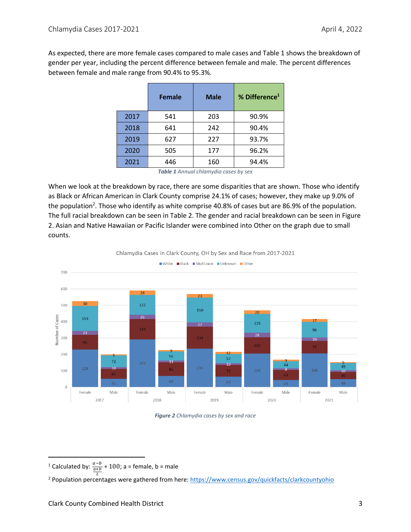As expected, there are more female cases compared to male cases and Table 1 shows the breakdown of gender per year, including the percent difference between female and male. The percent differences between female and male range from 90.4% to 95.3%.

|      | <b>Female</b> | <b>Male</b> | % Difference <sup>1</sup> |
|------|---------------|-------------|---------------------------|
| 2017 | 541           | 203         | 90.9%                     |
| 2018 | 641           | 242         | 90.4%                     |
| 2019 | 627           | 227         | 93.7%                     |
| 2020 | 505           | 177         | 96.2%                     |
| 2021 | 446           | 160         | 94.4%                     |

*Table 1 Annual chlamydia cases by sex*

When we look at the breakdown by race, there are some disparities that are shown. Those who identify as Black or African American in Clark County comprise 24.1% of cases; however, they make up 9.0% of the population<sup>2</sup>. Those who identify as white comprise 40.8% of cases but are 86.9% of the population. The full racial breakdown can be seen in Table 2. The gender and racial breakdown can be seen in Figure 2. Asian and Native Hawaiian or Pacific Islander were combined into Other on the graph due to small counts.



Chlamydia Cases in Clark County, OH by Sex and Race from 2017-2021

#### *Figure 2 Chlamydia cases by sex and race*

<sup>&</sup>lt;sup>1</sup> Calculated by:  $\frac{a-b}{a+b} * 100$ ; a = female, b = male

<sup>2</sup> <sup>2</sup> Population percentages were gathered from here:<https://www.census.gov/quickfacts/clarkcountyohio>